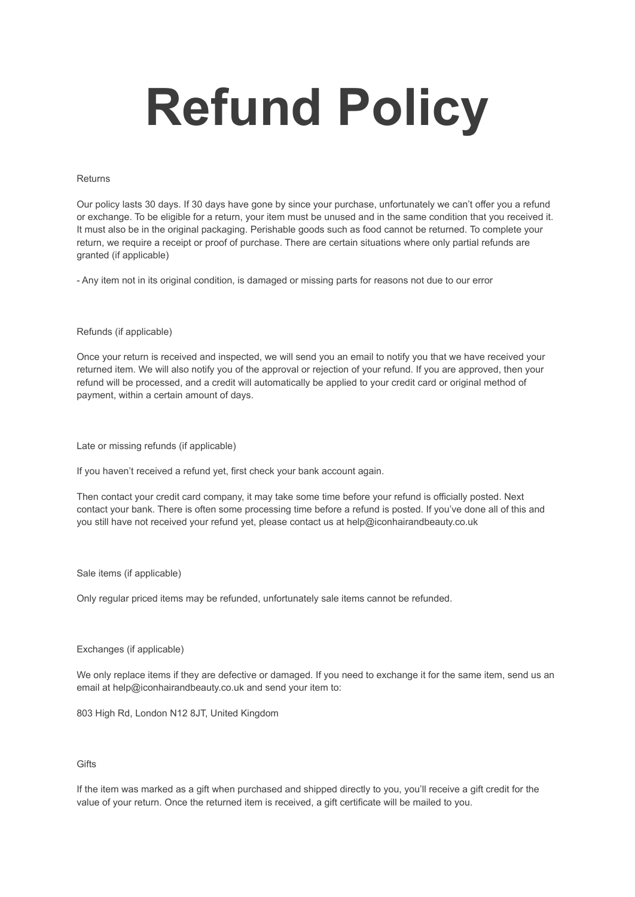# **Refund Policy**

### Returns

Our policy lasts 30 days. If 30 days have gone by since your purchase, unfortunately we can't offer you a refund or exchange. To be eligible for a return, your item must be unused and in the same condition that you received it. It must also be in the original packaging. Perishable goods such as food cannot be returned. To complete your return, we require a receipt or proof of purchase. There are certain situations where only partial refunds are granted (if applicable)

- Any item not in its original condition, is damaged or missing parts for reasons not due to our error

### Refunds (if applicable)

Once your return is received and inspected, we will send you an email to notify you that we have received your returned item. We will also notify you of the approval or rejection of your refund. If you are approved, then your refund will be processed, and a credit will automatically be applied to your credit card or original method of payment, within a certain amount of days.

Late or missing refunds (if applicable)

If you haven't received a refund yet, first check your bank account again.

Then contact your credit card company, it may take some time before your refund is officially posted. Next contact your bank. There is often some processing time before a refund is posted. If you've done all of this and you still have not received your refund yet, please contact us at help@iconhairandbeauty.co.uk

### Sale items (if applicable)

Only regular priced items may be refunded, unfortunately sale items cannot be refunded.

## Exchanges (if applicable)

We only replace items if they are defective or damaged. If you need to exchange it for the same item, send us an email at help@iconhairandbeauty.co.uk and send your item to:

803 High Rd, London N12 8JT, United Kingdom

# **Gifts**

If the item was marked as a gift when purchased and shipped directly to you, you'll receive a gift credit for the value of your return. Once the returned item is received, a gift certificate will be mailed to you.